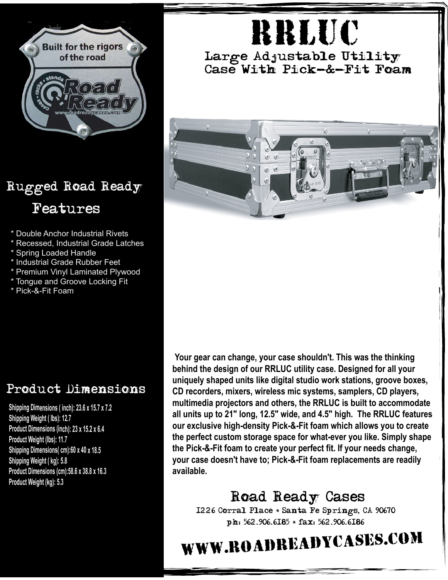

## Rugged Road Ready Features

- \* Double Anchor Industrial Rivets
- \* Recessed, Industrial Grade Latches
- Spring Loaded Handle
- \* Industrial Grade Rubber Feet
- Premium Vinyl Laminated Plywood
- \* Tongue and Groove Locking Fit
- \* Pick-&-Fit Foam

## Product Dimensions

**Shipping Dimensions ( inch): 23.6 <sup>x</sup> 15.7 <sup>x</sup> 7.2 Shipping Weight ( lbs): 12.7 Product Dimensions (inch): 23 <sup>x</sup> 15.2 <sup>x</sup> 6.4 Product Weight (lbs): 11.7 Shipping Dimensions( cm):60 <sup>x</sup> 40 <sup>x</sup> 18.5 Shipping Weight ( kg): 5.8 Product Dimensions (cm):58.6 <sup>x</sup> 38.8 <sup>x</sup> 16.3 Product Weight (kg): 5.3**

RRluc

Large Adjustable Utility Case With Pick-&-Fit Foam



**Your gear can change, your case shouldn't. This was the thinking behind the design of our RRLUC utility case. Designed for all your uniquely shaped units like digital studio work stations, groove boxes, CD recorders, mixers, wireless mic systems, samplers, CD players, multimedia projectors and others, the RRLUC is built to accommodate all units up to 21" long, 12.5" wide, and 4.5" high. The RRLUC features our exclusive high-density Pick-&-Fit foam which allows you to create the perfect custom storage space for what-ever you like. Simply shape the Pick-&-Fit foam to create your perfect fit. If your needs change, your case doesn't have to; Pick-&-Fit foam replacements are readily available.**

## Road Ready Cases

1226 Corral Place \* Santa Fe Springs, CA 90670 ph: 562.906.6185 \* fax: 562.906.6186

## www.roadreadycases.com